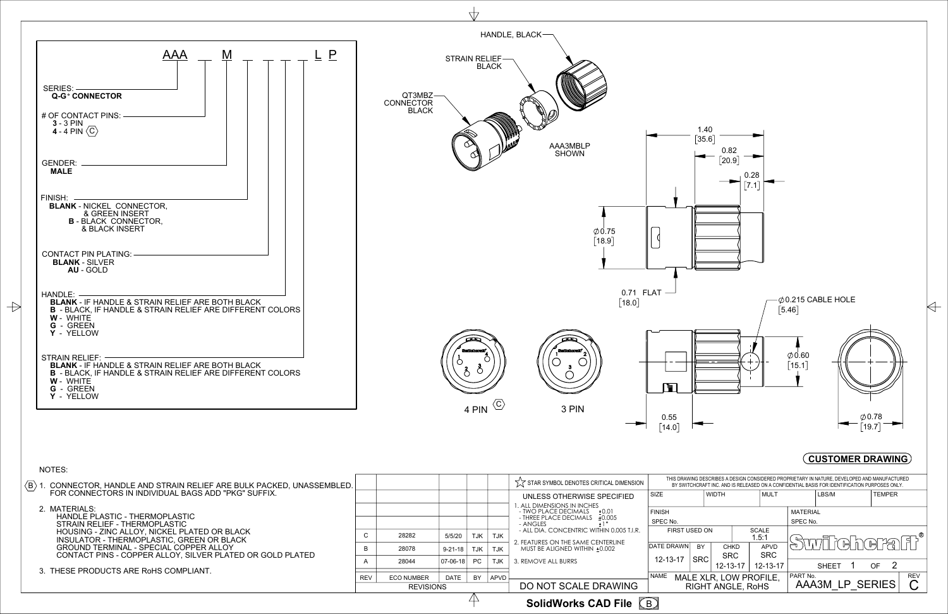1.40



| ଔ<br><b>Sedicionali</b><br>්ර<br>Ō<br>4 PIN $\langle \overline{C} \rangle$ | SHOWN<br>$\varphi$ 0.75<br>$[18.9]$<br>$[18.0]$<br><b>Suntification and international</b><br>3 PIN | 0.82<br>[20.9]<br>0.28<br>$\bm{[7.1]}$<br>$0.71$ FLAT $-$<br>$\emptyset$ 0.215 CABLE HOLE<br>$[5.46]$<br>$\emptyset$ 0.60<br>$[15.1]$<br>Ħ<br>$\emptyset$ 0.78<br>0.55<br>$[19.7]$<br>$[14.0]$<br><b>CUSTOMER DRAWING</b> |  |  |
|----------------------------------------------------------------------------|----------------------------------------------------------------------------------------------------|---------------------------------------------------------------------------------------------------------------------------------------------------------------------------------------------------------------------------|--|--|
|                                                                            | $\sqrt{\phantom{a}}\phantom{a}$ STAR SYMBOL DENOTES CRITICAL DIMENSION                             | THIS DRAWING DESCRIBES A DESIGN CONSIDERED PROPRIETARY IN NATURE, DEVELOPED AND MANUFACTURED<br>BY SWITCHCRAFT INC. AND IS RELEASED ON A CONFIDENTIAL BASIS FOR IDENTIFICATION PURPOSES ONLY.                             |  |  |
|                                                                            | UNLESS OTHERWISE SPECIFIED                                                                         | <b>TEMPER</b><br>SIZE<br><b>WIDTH</b><br>MULT<br>LBS/M                                                                                                                                                                    |  |  |
|                                                                            | 1. ALL DIMENSIONS IN INCHES<br>- TWO PLACE DECIMALS + 0.01<br>- THREE PLACE DECIMALS ±0.005        | <b>MATERIAL</b><br><b>FINISH</b>                                                                                                                                                                                          |  |  |
|                                                                            | - ANGLES<br>$\pm 1^{\circ}$<br>- ALL DIA. CONCENTRIC WITHIN 0.005 T.I.R.                           | SPEC No.<br>SPEC No.<br>FIRST USED ON<br>SCALE                                                                                                                                                                            |  |  |
| C<br>28282<br>5/5/20<br><b>TJK</b>                                         | <b>TJK</b><br>2. FEATURES ON THE SAME CENTERLINE                                                   | 1.5:1<br><b>Swiller here fi</b><br>Э,<br>DATE DRAWN<br>BY<br>APVD<br><b>CHKD</b>                                                                                                                                          |  |  |
| В<br>28078<br>$9 - 21 - 18$<br>TJK<br>PC<br>$07 - 06 - 18$<br>28044        | MUST BE ALIGNED WITHIN ±0.002<br>TJK<br>TJK<br>3. REMOVE ALL BURRS                                 | <b>SRC</b><br><b>SRC</b><br><b>SRC</b><br>12-13-17                                                                                                                                                                        |  |  |
| A                                                                          |                                                                                                    | $\overline{\mathbf{2}}$<br>SHEET 1<br>$12 - 13 - 17$<br>OF<br>12-13-17                                                                                                                                                    |  |  |
| <b>ECO NUMBER</b><br>DATE<br>BY<br>REV<br><b>REVISIONS</b>                 | APVD<br>DO NOT SCALE DRAWING                                                                       | PART No.<br><b>NAME</b><br>REV<br>MALE XLR, LOW PROFILE,<br>$\mathsf C$<br>AAA3M_LP_SERIES<br><b>RIGHT ANGLE, RoHS</b>                                                                                                    |  |  |
| 4<br>SolidWorks CAD File B                                                 |                                                                                                    |                                                                                                                                                                                                                           |  |  |

 $\rightarrow$